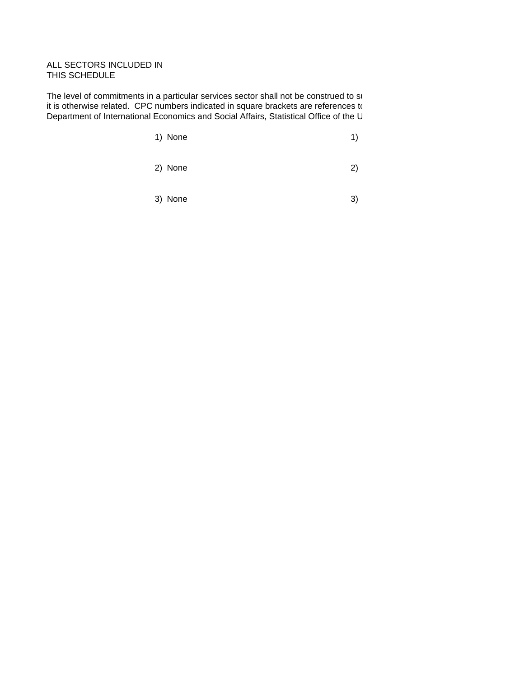## ALL SECTORS INCLUDED IN THIS SCHEDULE

The level of commitments in a particular services sector shall not be construed to su it is otherwise related. CPC numbers indicated in square brackets are references to Department of International Economics and Social Affairs, Statistical Office of the U

| 1) None |  |
|---------|--|
|---------|--|

- 2) None 2)
- 3) None 3)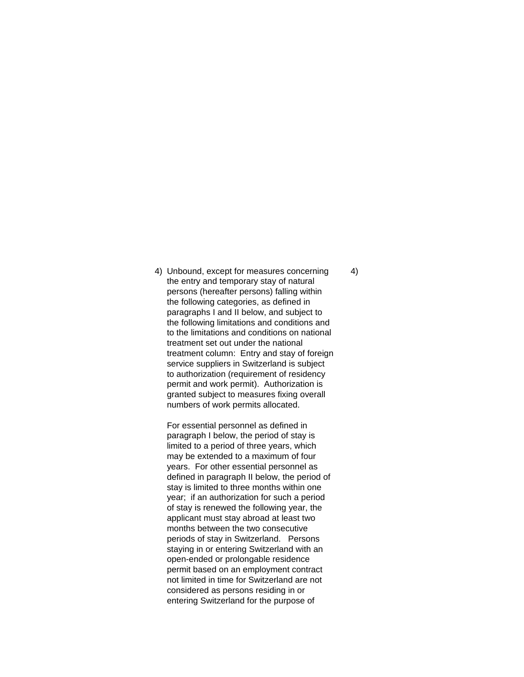4) Unbound, except for measures concerning 4) the entry and temporary stay of natural persons (hereafter persons) falling within the following categories, as defined in paragraphs I and II below, and subject to the following limitations and conditions and to the limitations and conditions on national treatment set out under the national treatment column: Entry and stay of foreign service suppliers in Switzerland is subject to authorization (requirement of residency permit and work permit). Authorization is granted subject to measures fixing overall numbers of work permits allocated.

For essential personnel as defined in paragraph I below, the period of stay is limited to a period of three years, which may be extended to a maximum of four years. For other essential personnel as defined in paragraph II below, the period of stay is limited to three months within one year; if an authorization for such a period of stay is renewed the following year, the applicant must stay abroad at least two months between the two consecutive periods of stay in Switzerland. Persons staying in or entering Switzerland with an open-ended or prolongable residence permit based on an employment contract not limited in time for Switzerland are not considered as persons residing in or entering Switzerland for the purpose of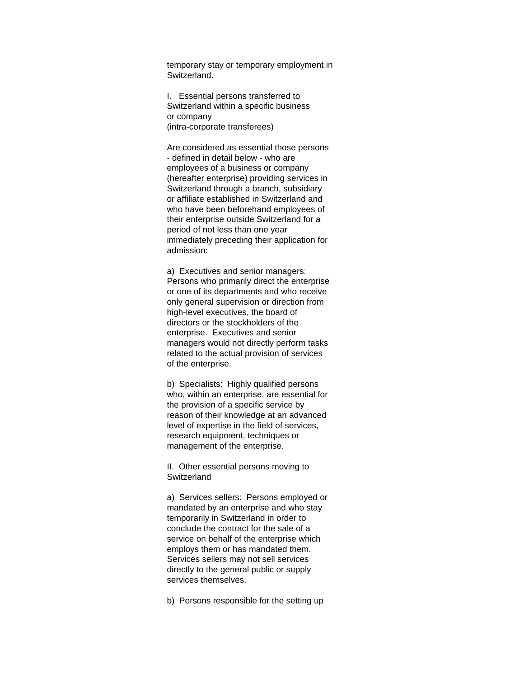temporary stay or temporary employment in Switzerland.

I. Essential persons transferred to Switzerland within a specific business or company (intra-corporate transferees)

Are considered as essential those persons - defined in detail below - who are employees of a business or company (hereafter enterprise) providing services in Switzerland through a branch, subsidiary or affiliate established in Switzerland and who have been beforehand employees of their enterprise outside Switzerland for a period of not less than one year immediately preceding their application for admission:

a) Executives and senior managers: Persons who primarily direct the enterprise or one of its departments and who receive only general supervision or direction from high-level executives, the board of directors or the stockholders of the enterprise. Executives and senior managers would not directly perform tasks related to the actual provision of services of the enterprise.

b) Specialists: Highly qualified persons who, within an enterprise, are essential for the provision of a specific service by reason of their knowledge at an advanced level of expertise in the field of services, research equipment, techniques or management of the enterprise.

II. Other essential persons moving to **Switzerland** 

a) Services sellers: Persons employed or mandated by an enterprise and who stay temporarily in Switzerland in order to conclude the contract for the sale of a service on behalf of the enterprise which employs them or has mandated them. Services sellers may not sell services directly to the general public or supply services themselves.

b) Persons responsible for the setting up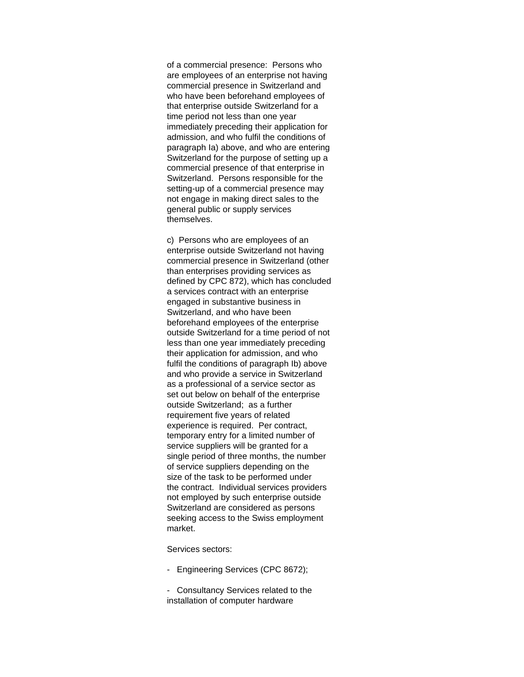of a commercial presence: Persons who are employees of an enterprise not having commercial presence in Switzerland and who have been beforehand employees of that enterprise outside Switzerland for a time period not less than one year immediately preceding their application for admission, and who fulfil the conditions of paragraph Ia) above, and who are entering Switzerland for the purpose of setting up a commercial presence of that enterprise in Switzerland. Persons responsible for the setting-up of a commercial presence may not engage in making direct sales to the general public or supply services themselves.

c) Persons who are employees of an enterprise outside Switzerland not having commercial presence in Switzerland (other than enterprises providing services as defined by CPC 872), which has concluded a services contract with an enterprise engaged in substantive business in Switzerland, and who have been beforehand employees of the enterprise outside Switzerland for a time period of not less than one year immediately preceding their application for admission, and who fulfil the conditions of paragraph Ib) above and who provide a service in Switzerland as a professional of a service sector as set out below on behalf of the enterprise outside Switzerland; as a further requirement five years of related experience is required. Per contract, temporary entry for a limited number of service suppliers will be granted for a single period of three months, the number of service suppliers depending on the size of the task to be performed under the contract. Individual services providers not employed by such enterprise outside Switzerland are considered as persons seeking access to the Swiss employment market.

Services sectors:

- Engineering Services (CPC 8672);

- Consultancy Services related to the installation of computer hardware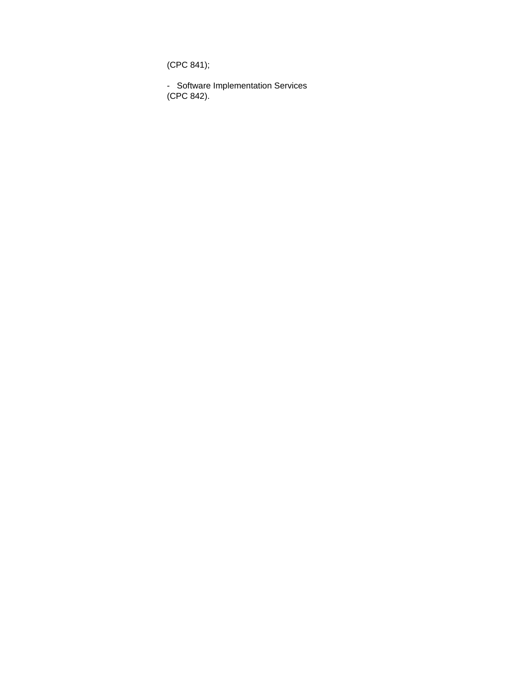(CPC 841);

- Software Implementation Services (CPC 842).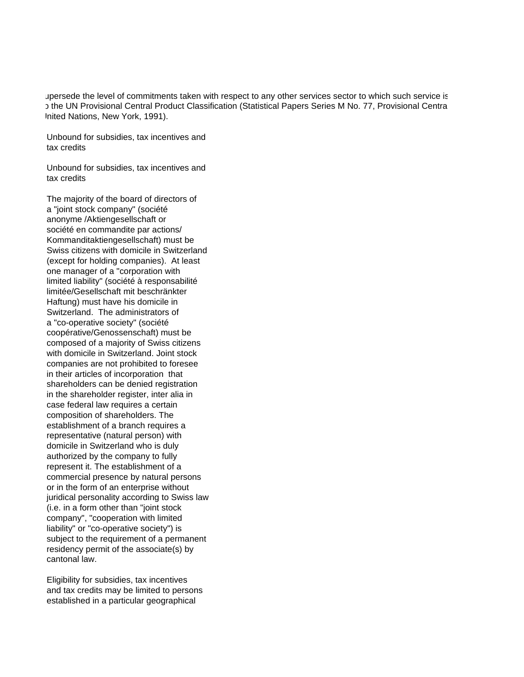upersede the level of commitments taken with respect to any other services sector to which such service is the UN Provisional Central Product Classification (Statistical Papers Series M No. 77, Provisional Central Papers Inited Nations, New York, 1991).

Unbound for subsidies, tax incentives and tax credits

Unbound for subsidies, tax incentives and tax credits

The majority of the board of directors of a "joint stock company" (société anonyme /Aktiengesellschaft or société en commandite par actions/ Kommanditaktiengesellschaft) must be Swiss citizens with domicile in Switzerland (except for holding companies). At least one manager of a "corporation with limited liability" (société à responsabilité limitée/Gesellschaft mit beschränkter Haftung) must have his domicile in Switzerland. The administrators of a "co-operative society" (société coopérative/Genossenschaft) must be composed of a majority of Swiss citizens with domicile in Switzerland. Joint stock companies are not prohibited to foresee in their articles of incorporation that shareholders can be denied registration in the shareholder register, inter alia in case federal law requires a certain composition of shareholders. The establishment of a branch requires a representative (natural person) with domicile in Switzerland who is duly authorized by the company to fully represent it. The establishment of a commercial presence by natural persons or in the form of an enterprise without juridical personality according to Swiss law (i.e. in a form other than "joint stock company", "cooperation with limited liability" or "co-operative society") is subject to the requirement of a permanent residency permit of the associate(s) by cantonal law.

Eligibility for subsidies, tax incentives and tax credits may be limited to persons established in a particular geographical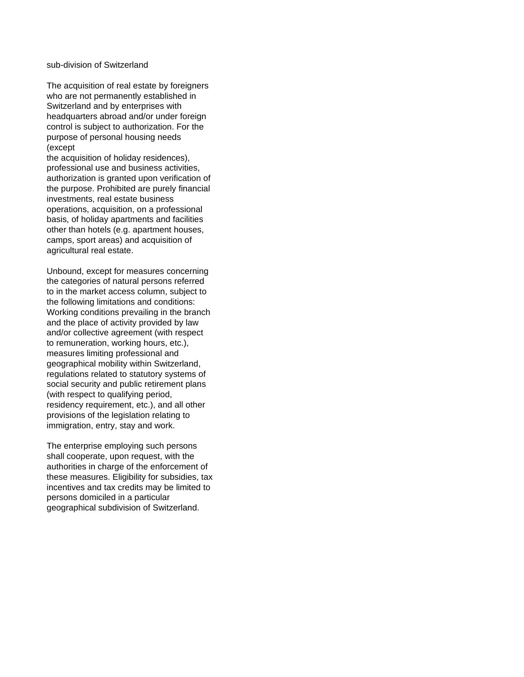## sub-division of Switzerland

The acquisition of real estate by foreigners who are not permanently established in Switzerland and by enterprises with headquarters abroad and/or under foreign control is subject to authorization. For the purpose of personal housing needs (except

the acquisition of holiday residences), professional use and business activities, authorization is granted upon verification of the purpose. Prohibited are purely financial investments, real estate business operations, acquisition, on a professional basis, of holiday apartments and facilities other than hotels (e.g. apartment houses, camps, sport areas) and acquisition of agricultural real estate.

Unbound, except for measures concerning the categories of natural persons referred to in the market access column, subject to the following limitations and conditions: Working conditions prevailing in the branch and the place of activity provided by law and/or collective agreement (with respect to remuneration, working hours, etc.), measures limiting professional and geographical mobility within Switzerland, regulations related to statutory systems of social security and public retirement plans (with respect to qualifying period, residency requirement, etc.), and all other provisions of the legislation relating to immigration, entry, stay and work.

The enterprise employing such persons shall cooperate, upon request, with the authorities in charge of the enforcement of these measures. Eligibility for subsidies, tax incentives and tax credits may be limited to persons domiciled in a particular geographical subdivision of Switzerland.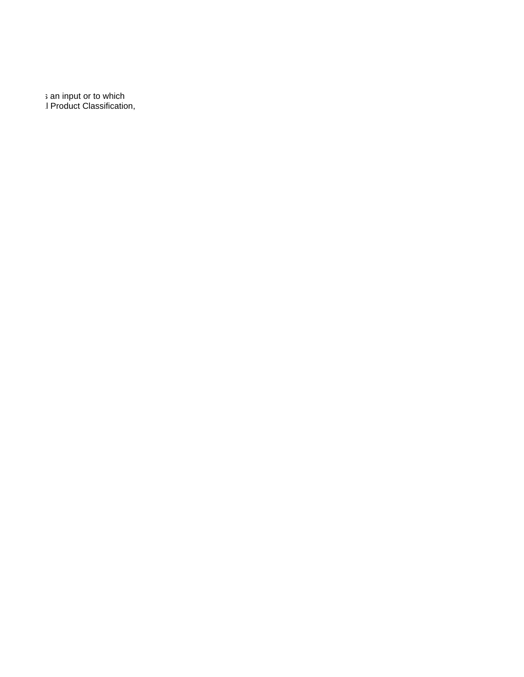s an input or to which I Product Classification,